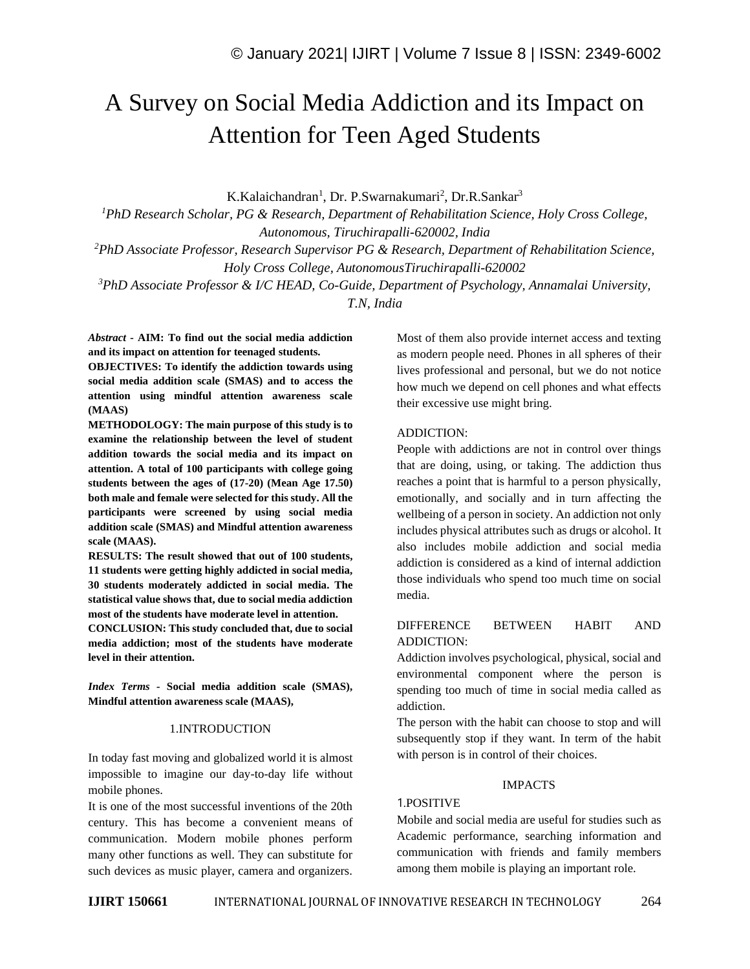# A Survey on Social Media Addiction and its Impact on Attention for Teen Aged Students

K.Kalaichandran<sup>1</sup>, Dr. P.Swarnakumari<sup>2</sup>, Dr.R.Sankar<sup>3</sup>

*<sup>1</sup>PhD Research Scholar, PG & Research, Department of Rehabilitation Science, Holy Cross College, Autonomous, Tiruchirapalli-620002, India <sup>2</sup>PhD Associate Professor, Research Supervisor PG & Research, Department of Rehabilitation Science, Holy Cross College, AutonomousTiruchirapalli-620002*

*<sup>3</sup>PhD Associate Professor & I/C HEAD, Co-Guide, Department of Psychology, Annamalai University, T.N, India*

*Abstract -* **AIM: To find out the social media addiction and its impact on attention for teenaged students.**

**OBJECTIVES: To identify the addiction towards using social media addition scale (SMAS) and to access the attention using mindful attention awareness scale (MAAS)**

**METHODOLOGY: The main purpose of this study is to examine the relationship between the level of student addition towards the social media and its impact on attention. A total of 100 participants with college going students between the ages of (17-20) (Mean Age 17.50) both male and female were selected for this study. All the participants were screened by using social media addition scale (SMAS) and Mindful attention awareness scale (MAAS).**

**RESULTS: The result showed that out of 100 students, 11 students were getting highly addicted in social media, 30 students moderately addicted in social media. The statistical value shows that, due to social media addiction most of the students have moderate level in attention.**

**CONCLUSION: This study concluded that, due to social media addiction; most of the students have moderate level in their attention.**

*Index Terms -* **Social media addition scale (SMAS), Mindful attention awareness scale (MAAS),** 

#### 1.INTRODUCTION

In today fast moving and globalized world it is almost impossible to imagine our day-to-day life without mobile phones.

It is one of the most successful inventions of the 20th century. This has become a convenient means of communication. Modern mobile phones perform many other functions as well. They can substitute for such devices as music player, camera and organizers. Most of them also provide internet access and texting as modern people need. Phones in all spheres of their lives professional and personal, but we do not notice how much we depend on cell phones and what effects their excessive use might bring.

## ADDICTION:

People with addictions are not in control over things that are doing, using, or taking. The addiction thus reaches a point that is harmful to a person physically, emotionally, and socially and in turn affecting the wellbeing of a person in society. An addiction not only includes physical attributes such as drugs or alcohol. It also includes mobile addiction and social media addiction is considered as a kind of internal addiction those individuals who spend too much time on social media.

## DIFFERENCE BETWEEN HABIT AND ADDICTION:

Addiction involves psychological, physical, social and environmental component where the person is spending too much of time in social media called as addiction.

The person with the habit can choose to stop and will subsequently stop if they want. In term of the habit with person is in control of their choices.

## IMPACTS

# 1.POSITIVE

Mobile and social media are useful for studies such as Academic performance, searching information and communication with friends and family members among them mobile is playing an important role.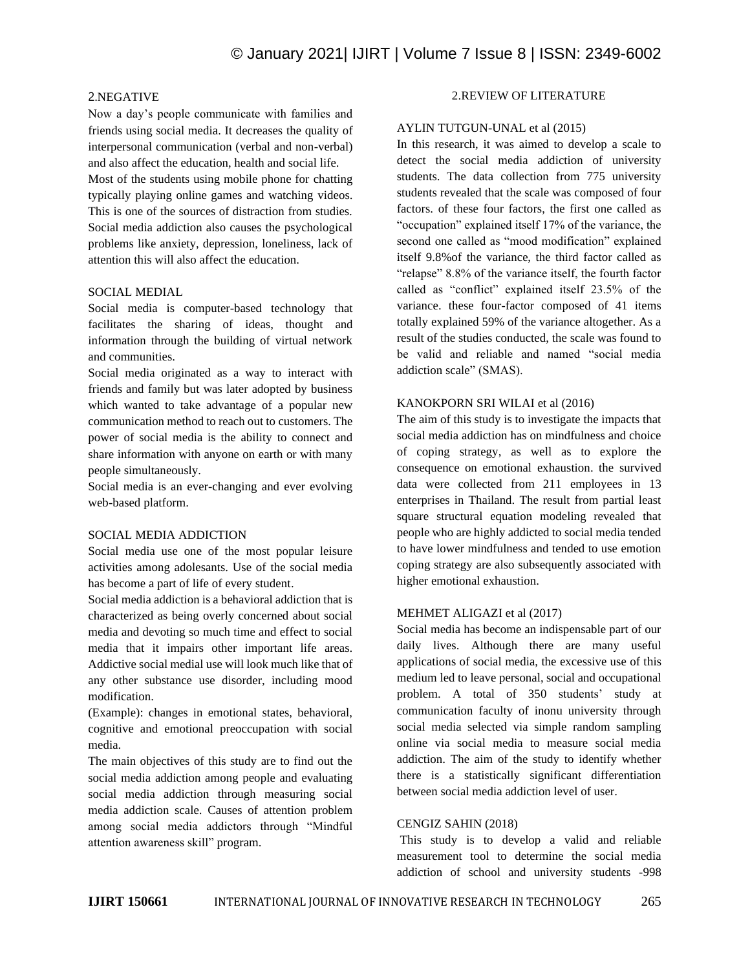## 2.NEGATIVE

Now a day's people communicate with families and friends using social media. It decreases the quality of interpersonal communication (verbal and non-verbal) and also affect the education, health and social life.

Most of the students using mobile phone for chatting typically playing online games and watching videos. This is one of the sources of distraction from studies. Social media addiction also causes the psychological problems like anxiety, depression, loneliness, lack of attention this will also affect the education.

## SOCIAL MEDIAL

Social media is computer-based technology that facilitates the sharing of ideas, thought and information through the building of virtual network and communities.

Social media originated as a way to interact with friends and family but was later adopted by business which wanted to take advantage of a popular new communication method to reach out to customers. The power of social media is the ability to connect and share information with anyone on earth or with many people simultaneously.

Social media is an ever-changing and ever evolving web-based platform.

## SOCIAL MEDIA ADDICTION

Social media use one of the most popular leisure activities among adolesants. Use of the social media has become a part of life of every student.

Social media addiction is a behavioral addiction that is characterized as being overly concerned about social media and devoting so much time and effect to social media that it impairs other important life areas. Addictive social medial use will look much like that of any other substance use disorder, including mood modification.

(Example): changes in emotional states, behavioral, cognitive and emotional preoccupation with social media.

The main objectives of this study are to find out the social media addiction among people and evaluating social media addiction through measuring social media addiction scale. Causes of attention problem among social media addictors through "Mindful attention awareness skill" program.

# 2.REVIEW OF LITERATURE

## AYLIN TUTGUN-UNAL et al (2015)

In this research, it was aimed to develop a scale to detect the social media addiction of university students. The data collection from 775 university students revealed that the scale was composed of four factors. of these four factors, the first one called as "occupation" explained itself 17% of the variance, the second one called as "mood modification" explained itself 9.8%of the variance, the third factor called as "relapse" 8.8% of the variance itself, the fourth factor called as "conflict" explained itself 23.5% of the variance. these four-factor composed of 41 items totally explained 59% of the variance altogether. As a result of the studies conducted, the scale was found to be valid and reliable and named "social media addiction scale" (SMAS).

## KANOKPORN SRI WILAI et al (2016)

The aim of this study is to investigate the impacts that social media addiction has on mindfulness and choice of coping strategy, as well as to explore the consequence on emotional exhaustion. the survived data were collected from 211 employees in 13 enterprises in Thailand. The result from partial least square structural equation modeling revealed that people who are highly addicted to social media tended to have lower mindfulness and tended to use emotion coping strategy are also subsequently associated with higher emotional exhaustion.

#### MEHMET ALIGAZI et al (2017)

Social media has become an indispensable part of our daily lives. Although there are many useful applications of social media, the excessive use of this medium led to leave personal, social and occupational problem. A total of 350 students' study at communication faculty of inonu university through social media selected via simple random sampling online via social media to measure social media addiction. The aim of the study to identify whether there is a statistically significant differentiation between social media addiction level of user.

## CENGIZ SAHIN (2018)

This study is to develop a valid and reliable measurement tool to determine the social media addiction of school and university students -998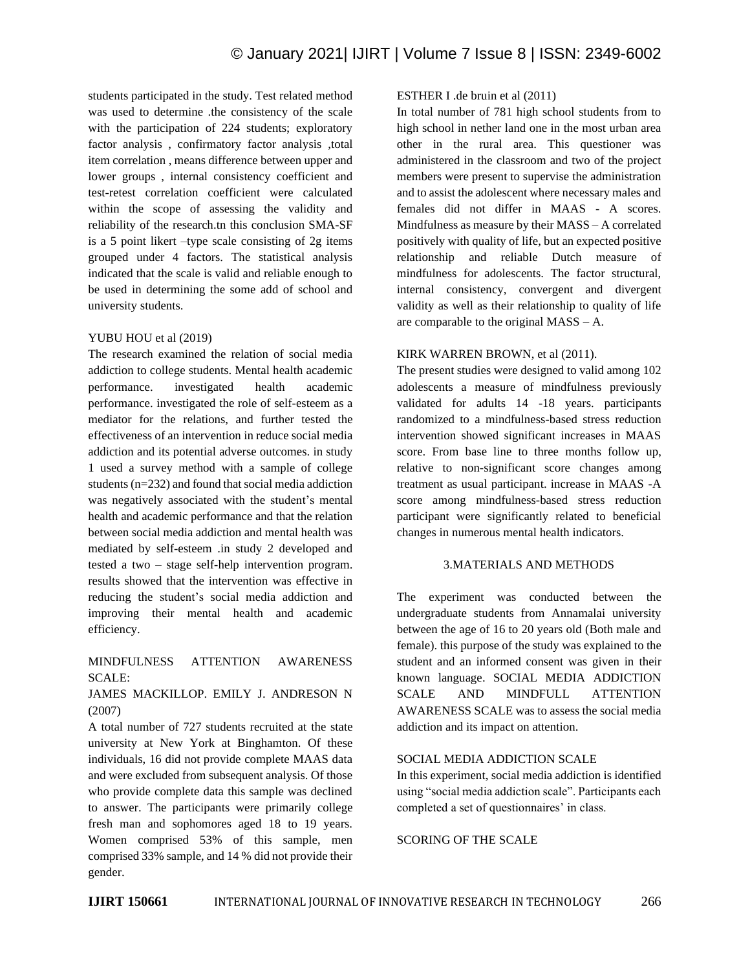students participated in the study. Test related method was used to determine .the consistency of the scale with the participation of 224 students; exploratory factor analysis , confirmatory factor analysis ,total item correlation , means difference between upper and lower groups , internal consistency coefficient and test-retest correlation coefficient were calculated within the scope of assessing the validity and reliability of the research.tn this conclusion SMA-SF is a 5 point likert –type scale consisting of 2g items grouped under 4 factors. The statistical analysis indicated that the scale is valid and reliable enough to be used in determining the some add of school and university students.

## YUBU HOU et al (2019)

The research examined the relation of social media addiction to college students. Mental health academic performance. investigated health academic performance. investigated the role of self-esteem as a mediator for the relations, and further tested the effectiveness of an intervention in reduce social media addiction and its potential adverse outcomes. in study 1 used a survey method with a sample of college students (n=232) and found that social media addiction was negatively associated with the student's mental health and academic performance and that the relation between social media addiction and mental health was mediated by self-esteem .in study 2 developed and tested a two – stage self-help intervention program. results showed that the intervention was effective in reducing the student's social media addiction and improving their mental health and academic efficiency.

## MINDFULNESS ATTENTION AWARENESS SCALE:

## JAMES MACKILLOP. EMILY J. ANDRESON N (2007)

A total number of 727 students recruited at the state university at New York at Binghamton. Of these individuals, 16 did not provide complete MAAS data and were excluded from subsequent analysis. Of those who provide complete data this sample was declined to answer. The participants were primarily college fresh man and sophomores aged 18 to 19 years. Women comprised 53% of this sample, men comprised 33% sample, and 14 % did not provide their gender.

## ESTHER I .de bruin et al (2011)

In total number of 781 high school students from to high school in nether land one in the most urban area other in the rural area. This questioner was administered in the classroom and two of the project members were present to supervise the administration and to assist the adolescent where necessary males and females did not differ in MAAS - A scores. Mindfulness as measure by their MASS – A correlated positively with quality of life, but an expected positive relationship and reliable Dutch measure of mindfulness for adolescents. The factor structural, internal consistency, convergent and divergent validity as well as their relationship to quality of life are comparable to the original MASS – A.

## KIRK WARREN BROWN, et al (2011).

The present studies were designed to valid among 102 adolescents a measure of mindfulness previously validated for adults 14 -18 years. participants randomized to a mindfulness-based stress reduction intervention showed significant increases in MAAS score. From base line to three months follow up, relative to non-significant score changes among treatment as usual participant. increase in MAAS -A score among mindfulness-based stress reduction participant were significantly related to beneficial changes in numerous mental health indicators.

## 3.MATERIALS AND METHODS

The experiment was conducted between the undergraduate students from Annamalai university between the age of 16 to 20 years old (Both male and female). this purpose of the study was explained to the student and an informed consent was given in their known language. SOCIAL MEDIA ADDICTION SCALE AND MINDFULL ATTENTION AWARENESS SCALE was to assess the social media addiction and its impact on attention.

#### SOCIAL MEDIA ADDICTION SCALE

In this experiment, social media addiction is identified using "social media addiction scale". Participants each completed a set of questionnaires' in class.

SCORING OF THE SCALE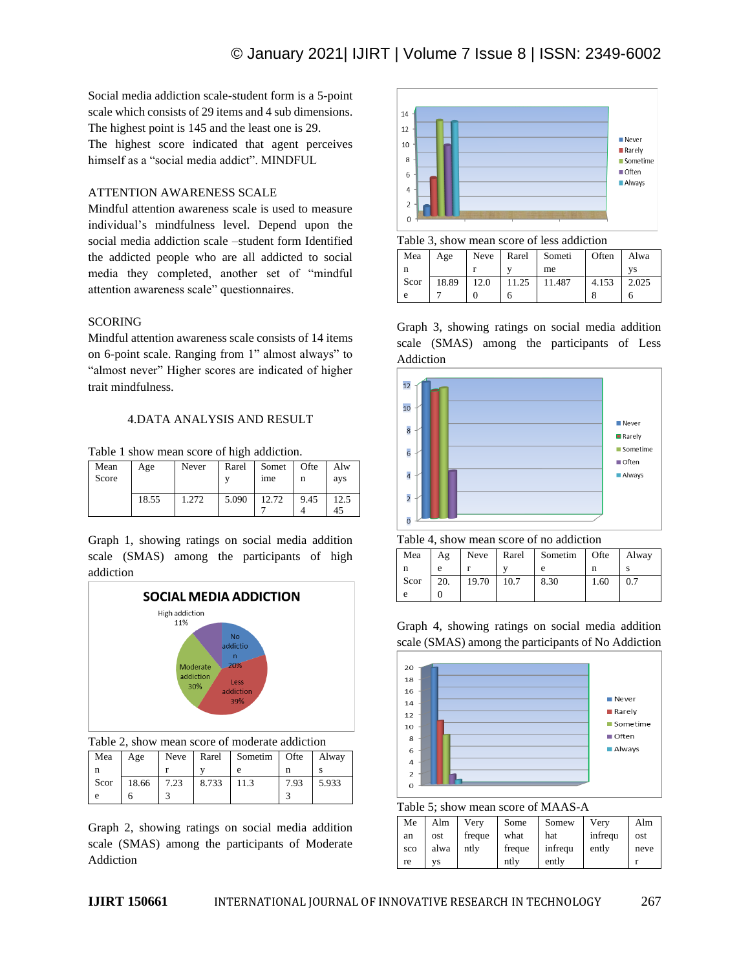Social media addiction scale-student form is a 5-point scale which consists of 29 items and 4 sub dimensions. The highest point is 145 and the least one is 29. The highest score indicated that agent perceives himself as a "social media addict". MINDFUL

## ATTENTION AWARENESS SCALE

Mindful attention awareness scale is used to measure individual's mindfulness level. Depend upon the social media addiction scale –student form Identified the addicted people who are all addicted to social media they completed, another set of "mindful attention awareness scale" questionnaires.

## **SCORING**

Mindful attention awareness scale consists of 14 items on 6-point scale. Ranging from 1" almost always" to "almost never" Higher scores are indicated of higher trait mindfulness.

## 4.DATA ANALYSIS AND RESULT

Table 1 show mean score of high addiction.

| Mean<br>Score | Age   | Never | Rarel | Somet<br><sub>1</sub> me | Ofte<br>n | Alw<br>ays |
|---------------|-------|-------|-------|--------------------------|-----------|------------|
|               | 18.55 | 1.272 | 5.090 | 12.72                    | 9.45      | 12.5<br>45 |

Graph 1, showing ratings on social media addition scale (SMAS) among the participants of high addiction



Table 2, show mean score of moderate addiction

| Mea  | Age   |      |       | Neve   Rarel   Sometim   Ofte |      | Alway |
|------|-------|------|-------|-------------------------------|------|-------|
| n    |       |      |       | e                             |      |       |
| Scor | 18.66 | 7.23 | 8.733 | 11.3                          | 7.93 | 5.933 |
| e    |       |      |       |                               |      |       |

Graph 2, showing ratings on social media addition scale (SMAS) among the participants of Moderate Addiction



Table 3, show mean score of less addiction

| Mea  | Age   |      | Neve   Rarel   Someti |        | Often | Alwa  |
|------|-------|------|-----------------------|--------|-------|-------|
| n    |       |      |                       | me     |       | VS    |
| Scor | 18.89 | 12.0 | 11.25                 | 11.487 | 4.153 | 2.025 |
|      |       |      |                       |        |       |       |

Graph 3, showing ratings on social media addition scale (SMAS) among the participants of Less Addiction



Table 4, show mean score of no addiction

| Mea  | Ag  | Neve  | Rarel | Sometim | Ofte | Alway |
|------|-----|-------|-------|---------|------|-------|
|      | е   |       |       |         |      |       |
| Scor | 20. | 19.70 | 10.7  | 8.30    | 1.60 | 0.7   |
|      |     |       |       |         |      |       |

Graph 4, showing ratings on social media addition scale (SMAS) among the participants of No Addiction



Table 5; show mean score of MAAS-A

| Me  | Alm  | Very   | Some   | Somew   | Very    | Alm  |
|-----|------|--------|--------|---------|---------|------|
| an  | ost  | freque | what   | hat     | infrequ | ost  |
| sco | alwa | ntly   | freque | infrequ | ently   | neve |
| re  | VS   |        | ntly   | ently   |         |      |